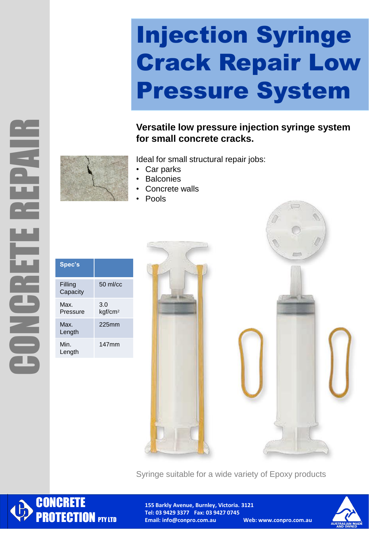## Injection Syringe Crack Repair Low Pressure System

**Versatile low pressure injection syringe system for small concrete cracks.** 

 $\overline{(\cdots)}$ 



Ideal for small structural repair jobs:

- Car parks
- **Balconies**
- Concrete walls
- Pools

| Spec's              |                            |
|---------------------|----------------------------|
| Filling<br>Capacity | $50 \text{ m}$ / $cc$      |
| Max.<br>Pressure    | 3.0<br>kgf/cm <sup>2</sup> |
| Max<br>Length       | $225$ mm                   |
| Min.<br>Length      | 147mm                      |



Syringe suitable for a wide variety of Epoxy products



**155 Barkly Avenue, Burnley, Victoria. 3121 Tel: 03 9429 3377 Fax: 03 9427 0745 Email: info@conpro.com.au Web: www.conpro.com.au**